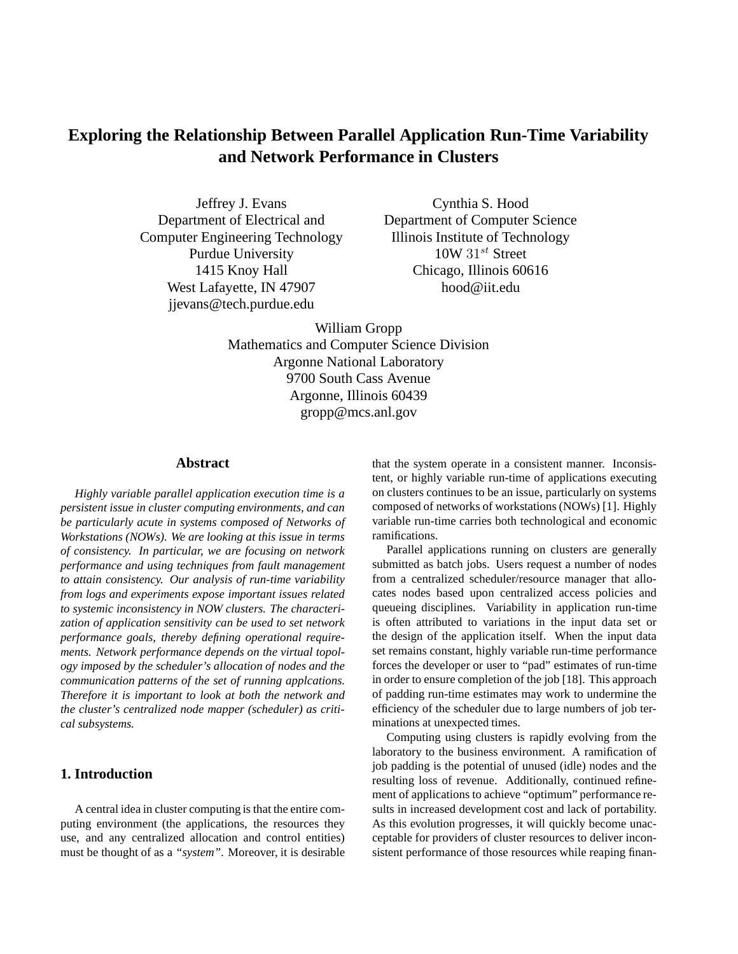# **Exploring the Relationship Between Parallel Application Run-Time Variability and Network Performance in Clusters**

Jeffrey J. Evans Department of Electrical and Computer Engineering Technology Purdue University 1415 Knoy Hall West Lafayette, IN 47907 jjevans@tech.purdue.edu

Cynthia S. Hood Department of Computer Science Illinois Institute of Technology  $10W$   $31^{st}$  Street Chicago, Illinois 60616 hood@iit.edu

William Gropp Mathematics and Computer Science Division Argonne National Laboratory 9700 South Cass Avenue Argonne, Illinois 60439 gropp@mcs.anl.gov

## **Abstract**

*Highly variable parallel application execution time is a persistent issue in cluster computing environments, and can be particularly acute in systems composed of Networks of Workstations (NOWs). We are looking at this issue in terms of consistency. In particular, we are focusing on network performance and using techniques from fault management to attain consistency. Our analysis of run-time variability from logs and experiments expose important issues related to systemic inconsistency in NOW clusters. The characterization of application sensitivity can be used to set network performance goals, thereby defining operational requirements. Network performance depends on the virtual topology imposed by the scheduler's allocation of nodes and the communication patterns of the set of running applcations. Therefore it is important to look at both the network and the cluster's centralized node mapper (scheduler) as critical subsystems.*

# **1. Introduction**

A central idea in cluster computing is that the entire computing environment (the applications, the resources they use, and any centralized allocation and control entities) must be thought of as a *"system"*. Moreover, it is desirable that the system operate in a consistent manner. Inconsistent, or highly variable run-time of applications executing on clusters continues to be an issue, particularly on systems composed of networks of workstations (NOWs) [1]. Highly variable run-time carries both technological and economic ramifications.

Parallel applications running on clusters are generally submitted as batch jobs. Users request a number of nodes from a centralized scheduler/resource manager that allocates nodes based upon centralized access policies and queueing disciplines. Variability in application run-time is often attributed to variations in the input data set or the design of the application itself. When the input data set remains constant, highly variable run-time performance forces the developer or user to "pad" estimates of run-time in order to ensure completion of the job [18]. This approach of padding run-time estimates may work to undermine the efficiency of the scheduler due to large numbers of job terminations at unexpected times.

Computing using clusters is rapidly evolving from the laboratory to the business environment. A ramification of job padding is the potential of unused (idle) nodes and the resulting loss of revenue. Additionally, continued refinement of applications to achieve "optimum" performance results in increased development cost and lack of portability. As this evolution progresses, it will quickly become unacceptable for providers of cluster resources to deliver inconsistent performance of those resources while reaping finan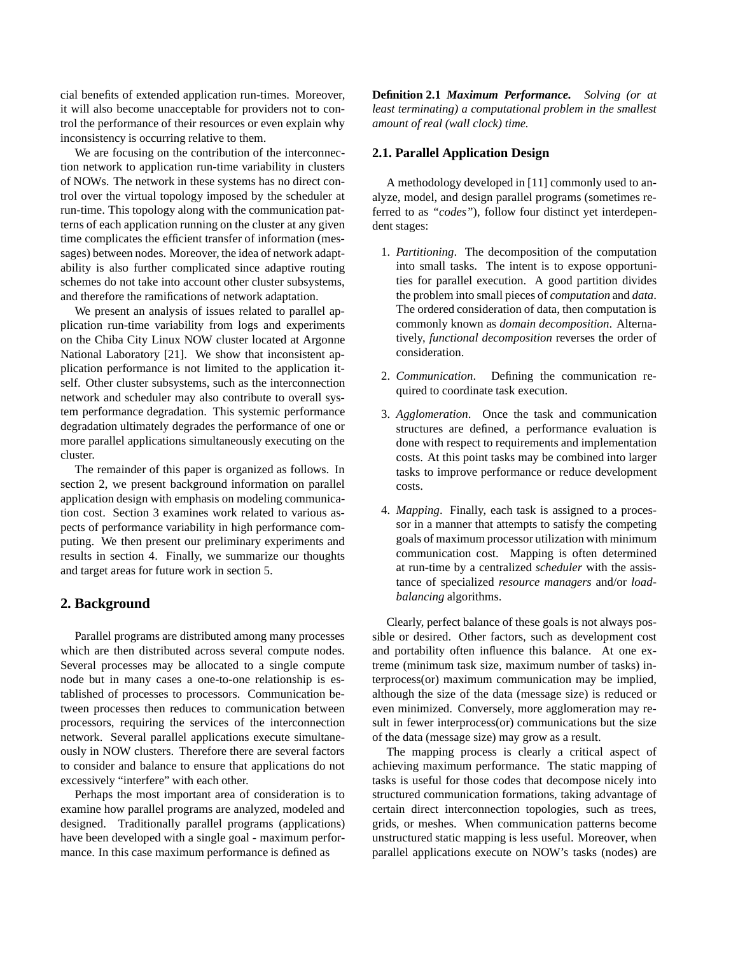cial benefits of extended application run-times. Moreover, it will also become unacceptable for providers not to control the performance of their resources or even explain why inconsistency is occurring relative to them.

We are focusing on the contribution of the interconnection network to application run-time variability in clusters of NOWs. The network in these systems has no direct control over the virtual topology imposed by the scheduler at run-time. This topology along with the communication patterns of each application running on the cluster at any given time complicates the efficient transfer of information (messages) between nodes. Moreover, the idea of network adaptability is also further complicated since adaptive routing schemes do not take into account other cluster subsystems, and therefore the ramifications of network adaptation.

We present an analysis of issues related to parallel application run-time variability from logs and experiments on the Chiba City Linux NOW cluster located at Argonne National Laboratory [21]. We show that inconsistent application performance is not limited to the application itself. Other cluster subsystems, such as the interconnection network and scheduler may also contribute to overall system performance degradation. This systemic performance degradation ultimately degrades the performance of one or more parallel applications simultaneously executing on the cluster.

The remainder of this paper is organized as follows. In section 2, we present background information on parallel application design with emphasis on modeling communication cost. Section 3 examines work related to various aspects of performance variability in high performance computing. We then present our preliminary experiments and results in section 4. Finally, we summarize our thoughts and target areas for future work in section 5.

## **2. Background**

Parallel programs are distributed among many processes which are then distributed across several compute nodes. Several processes may be allocated to a single compute node but in many cases a one-to-one relationship is established of processes to processors. Communication between processes then reduces to communication between processors, requiring the services of the interconnection network. Several parallel applications execute simultaneously in NOW clusters. Therefore there are several factors to consider and balance to ensure that applications do not excessively "interfere" with each other.

Perhaps the most important area of consideration is to examine how parallel programs are analyzed, modeled and designed. Traditionally parallel programs (applications) have been developed with a single goal - maximum performance. In this case maximum performance is defined as

**Definition 2.1** *Maximum Performance. Solving (or at least terminating) a computational problem in the smallest amount of real (wall clock) time.*

## **2.1. Parallel Application Design**

A methodology developed in [11] commonly used to analyze, model, and design parallel programs (sometimes referred to as *"codes"*), follow four distinct yet interdependent stages:

- 1. *Partitioning*. The decomposition of the computation into small tasks. The intent is to expose opportunities for parallel execution. A good partition divides the problem into small pieces of *computation* and *data*. The ordered consideration of data, then computation is commonly known as *domain decomposition*. Alternatively, *functional decomposition* reverses the order of consideration.
- 2. *Communication*. Defining the communication required to coordinate task execution.
- 3. *Agglomeration*. Once the task and communication structures are defined, a performance evaluation is done with respect to requirements and implementation costs. At this point tasks may be combined into larger tasks to improve performance or reduce development costs.
- 4. *Mapping*. Finally, each task is assigned to a processor in a manner that attempts to satisfy the competing goals of maximum processor utilization with minimum communication cost. Mapping is often determined at run-time by a centralized *scheduler* with the assistance of specialized *resource managers* and/or *loadbalancing* algorithms.

Clearly, perfect balance of these goals is not always possible or desired. Other factors, such as development cost and portability often influence this balance. At one extreme (minimum task size, maximum number of tasks) interprocess(or) maximum communication may be implied, although the size of the data (message size) is reduced or even minimized. Conversely, more agglomeration may result in fewer interprocess(or) communications but the size of the data (message size) may grow as a result.

The mapping process is clearly a critical aspect of achieving maximum performance. The static mapping of tasks is useful for those codes that decompose nicely into structured communication formations, taking advantage of certain direct interconnection topologies, such as trees, grids, or meshes. When communication patterns become unstructured static mapping is less useful. Moreover, when parallel applications execute on NOW's tasks (nodes) are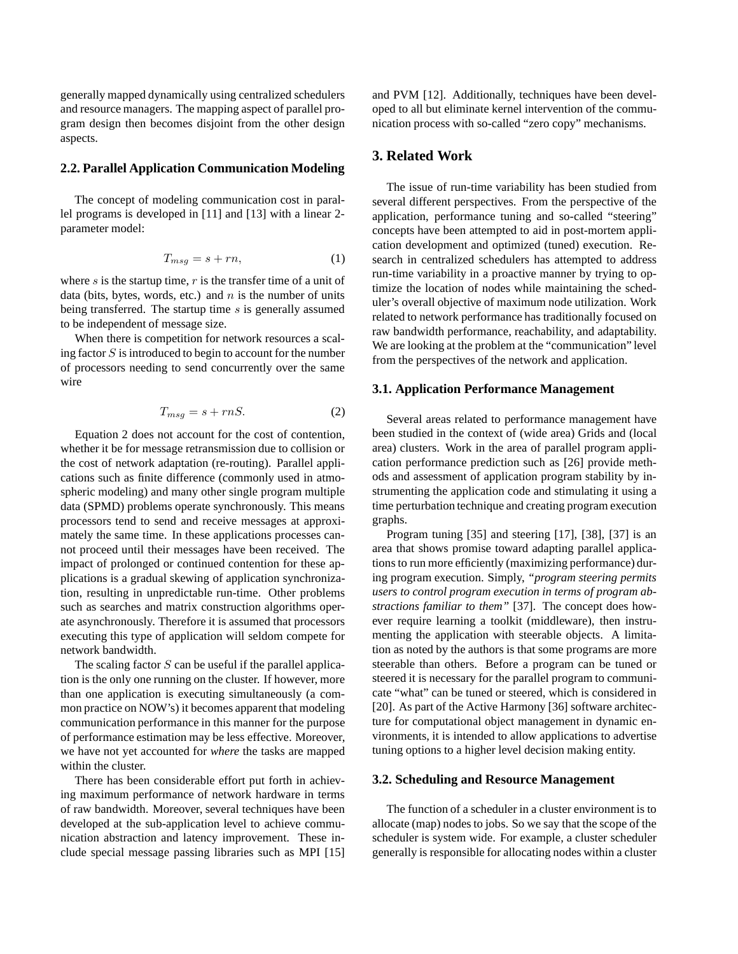generally mapped dynamically using centralized schedulers and resource managers. The mapping aspect of parallel program design then becomes disjoint from the other design aspects.

#### **2.2. Parallel Application Communication Modeling**

The concept of modeling communication cost in parallel programs is developed in [11] and [13] with a linear 2 parameter model:

$$
T_{msg} = s + rn,\tag{1}
$$

where s is the startup time,  $r$  is the transfer time of a unit of data (bits, bytes, words, etc.) and  $n$  is the number of units being transferred. The startup time  $s$  is generally assumed to be independent of message size.

When there is competition for network resources a scaling factor  $S$  is introduced to begin to account for the number of processors needing to send concurrently over the same wire

$$
T_{msg} = s + rnS.\tag{2}
$$

Equation 2 does not account for the cost of contention, whether it be for message retransmission due to collision or the cost of network adaptation (re-routing). Parallel applications such as finite difference (commonly used in atmospheric modeling) and many other single program multiple data (SPMD) problems operate synchronously. This means processors tend to send and receive messages at approximately the same time. In these applications processes cannot proceed until their messages have been received. The impact of prolonged or continued contention for these applications is a gradual skewing of application synchronization, resulting in unpredictable run-time. Other problems such as searches and matrix construction algorithms operate asynchronously. Therefore it is assumed that processors executing this type of application will seldom compete for network bandwidth.

The scaling factor  $S$  can be useful if the parallel application is the only one running on the cluster. If however, more than one application is executing simultaneously (a common practice on NOW's) it becomes apparent that modeling communication performance in this manner for the purpose of performance estimation may be less effective. Moreover, we have not yet accounted for *where* the tasks are mapped within the cluster.

There has been considerable effort put forth in achieving maximum performance of network hardware in terms of raw bandwidth. Moreover, several techniques have been developed at the sub-application level to achieve communication abstraction and latency improvement. These include special message passing libraries such as MPI [15] and PVM [12]. Additionally, techniques have been developed to all but eliminate kernel intervention of the communication process with so-called "zero copy" mechanisms.

## **3. Related Work**

The issue of run-time variability has been studied from several different perspectives. From the perspective of the application, performance tuning and so-called "steering" concepts have been attempted to aid in post-mortem application development and optimized (tuned) execution. Research in centralized schedulers has attempted to address run-time variability in a proactive manner by trying to optimize the location of nodes while maintaining the scheduler's overall objective of maximum node utilization. Work related to network performance has traditionally focused on raw bandwidth performance, reachability, and adaptability. We are looking at the problem at the "communication" level from the perspectives of the network and application.

#### **3.1. Application Performance Management**

Several areas related to performance management have been studied in the context of (wide area) Grids and (local area) clusters. Work in the area of parallel program application performance prediction such as [26] provide methods and assessment of application program stability by instrumenting the application code and stimulating it using a time perturbation technique and creating program execution graphs.

Program tuning [35] and steering [17], [38], [37] is an area that shows promise toward adapting parallel applications to run more efficiently (maximizing performance) during program execution. Simply, *"program steering permits users to control program execution in terms of program abstractions familiar to them"* [37]. The concept does however require learning a toolkit (middleware), then instrumenting the application with steerable objects. A limitation as noted by the authors is that some programs are more steerable than others. Before a program can be tuned or steered it is necessary for the parallel program to communicate "what" can be tuned or steered, which is considered in [20]. As part of the Active Harmony [36] software architecture for computational object management in dynamic environments, it is intended to allow applications to advertise tuning options to a higher level decision making entity.

#### **3.2. Scheduling and Resource Management**

The function of a scheduler in a cluster environment is to allocate (map) nodes to jobs. So we say that the scope of the scheduler is system wide. For example, a cluster scheduler generally is responsible for allocating nodes within a cluster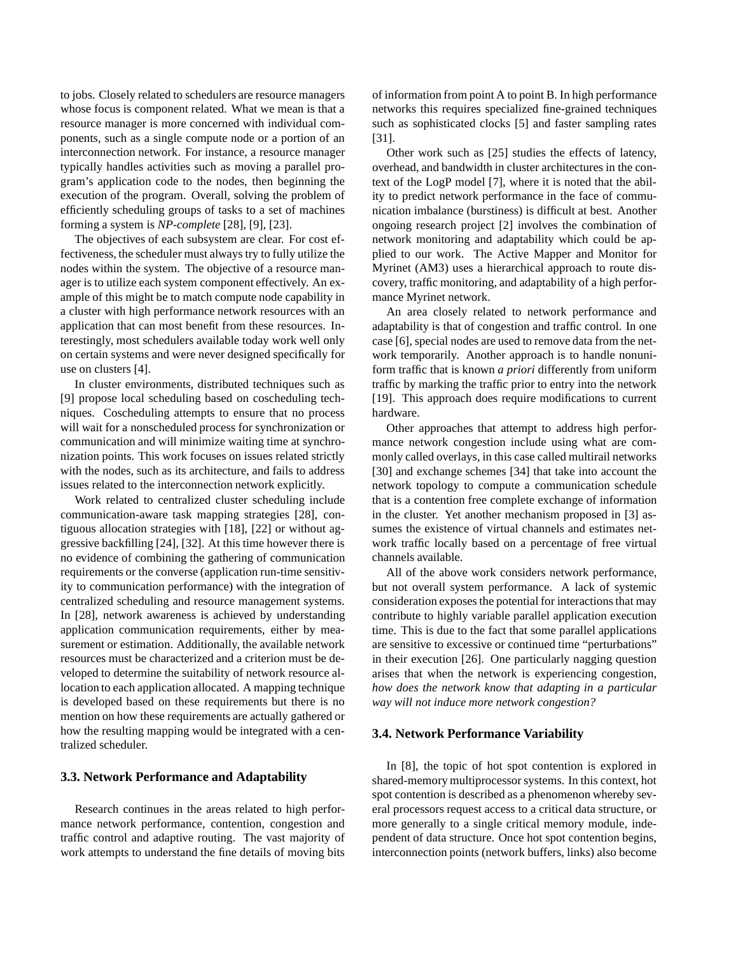to jobs. Closely related to schedulers are resource managers whose focus is component related. What we mean is that a resource manager is more concerned with individual components, such as a single compute node or a portion of an interconnection network. For instance, a resource manager typically handles activities such as moving a parallel program's application code to the nodes, then beginning the execution of the program. Overall, solving the problem of efficiently scheduling groups of tasks to a set of machines forming a system is *NP-complete* [28], [9], [23].

The objectives of each subsystem are clear. For cost effectiveness, the scheduler must always try to fully utilize the nodes within the system. The objective of a resource manager is to utilize each system component effectively. An example of this might be to match compute node capability in a cluster with high performance network resources with an application that can most benefit from these resources. Interestingly, most schedulers available today work well only on certain systems and were never designed specifically for use on clusters [4].

In cluster environments, distributed techniques such as [9] propose local scheduling based on coscheduling techniques. Coscheduling attempts to ensure that no process will wait for a nonscheduled process for synchronization or communication and will minimize waiting time at synchronization points. This work focuses on issues related strictly with the nodes, such as its architecture, and fails to address issues related to the interconnection network explicitly.

Work related to centralized cluster scheduling include communication-aware task mapping strategies [28], contiguous allocation strategies with [18], [22] or without aggressive backfilling [24], [32]. At this time however there is no evidence of combining the gathering of communication requirements or the converse (application run-time sensitivity to communication performance) with the integration of centralized scheduling and resource management systems. In [28], network awareness is achieved by understanding application communication requirements, either by measurement or estimation. Additionally, the available network resources must be characterized and a criterion must be developed to determine the suitability of network resource allocation to each application allocated. A mapping technique is developed based on these requirements but there is no mention on how these requirements are actually gathered or how the resulting mapping would be integrated with a centralized scheduler.

#### **3.3. Network Performance and Adaptability**

Research continues in the areas related to high performance network performance, contention, congestion and traffic control and adaptive routing. The vast majority of work attempts to understand the fine details of moving bits of information from point A to point B. In high performance networks this requires specialized fine-grained techniques such as sophisticated clocks [5] and faster sampling rates [31].

Other work such as [25] studies the effects of latency, overhead, and bandwidth in cluster architectures in the context of the LogP model [7], where it is noted that the ability to predict network performance in the face of communication imbalance (burstiness) is difficult at best. Another ongoing research project [2] involves the combination of network monitoring and adaptability which could be applied to our work. The Active Mapper and Monitor for Myrinet (AM3) uses a hierarchical approach to route discovery, traffic monitoring, and adaptability of a high performance Myrinet network.

An area closely related to network performance and adaptability is that of congestion and traffic control. In one case [6], special nodes are used to remove data from the network temporarily. Another approach is to handle nonuniform traffic that is known *a priori* differently from uniform traffic by marking the traffic prior to entry into the network [19]. This approach does require modifications to current hardware.

Other approaches that attempt to address high performance network congestion include using what are commonly called overlays, in this case called multirail networks [30] and exchange schemes [34] that take into account the network topology to compute a communication schedule that is a contention free complete exchange of information in the cluster. Yet another mechanism proposed in [3] assumes the existence of virtual channels and estimates network traffic locally based on a percentage of free virtual channels available.

All of the above work considers network performance, but not overall system performance. A lack of systemic consideration exposes the potential for interactions that may contribute to highly variable parallel application execution time. This is due to the fact that some parallel applications are sensitive to excessive or continued time "perturbations" in their execution [26]. One particularly nagging question arises that when the network is experiencing congestion, *how does the network know that adapting in a particular way will not induce more network congestion?*

#### **3.4. Network Performance Variability**

In [8], the topic of hot spot contention is explored in shared-memory multiprocessor systems. In this context, hot spot contention is described as a phenomenon whereby several processors request access to a critical data structure, or more generally to a single critical memory module, independent of data structure. Once hot spot contention begins, interconnection points (network buffers, links) also become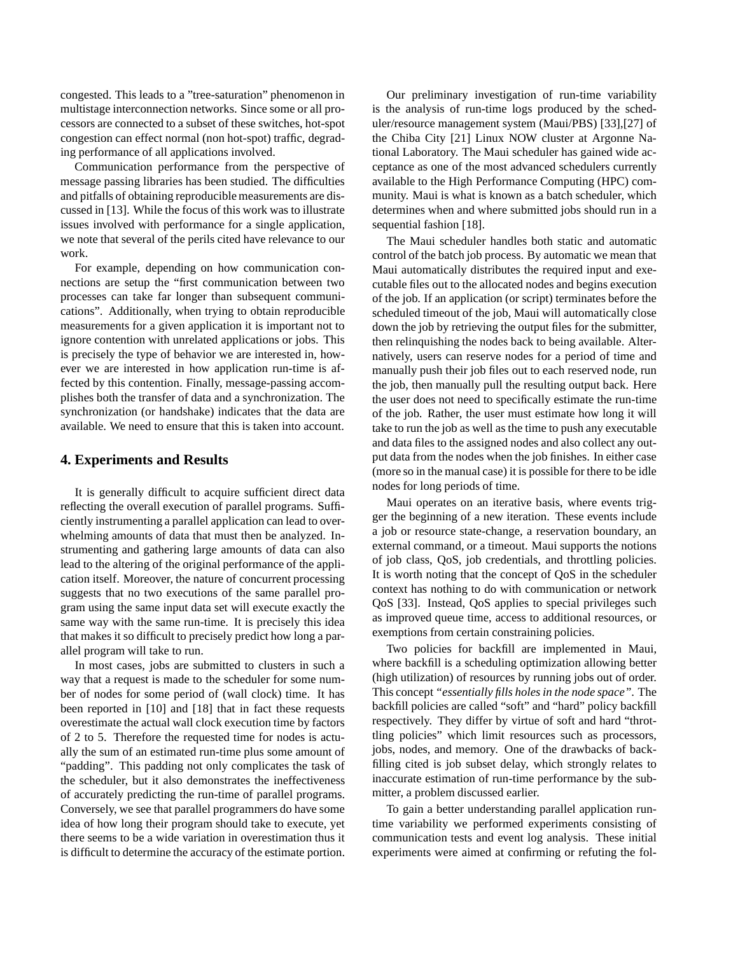congested. This leads to a "tree-saturation" phenomenon in multistage interconnection networks. Since some or all processors are connected to a subset of these switches, hot-spot congestion can effect normal (non hot-spot) traffic, degrading performance of all applications involved.

Communication performance from the perspective of message passing libraries has been studied. The difficulties and pitfalls of obtaining reproducible measurements are discussed in [13]. While the focus of this work was to illustrate issues involved with performance for a single application, we note that several of the perils cited have relevance to our work.

For example, depending on how communication connections are setup the "first communication between two processes can take far longer than subsequent communications". Additionally, when trying to obtain reproducible measurements for a given application it is important not to ignore contention with unrelated applications or jobs. This is precisely the type of behavior we are interested in, however we are interested in how application run-time is affected by this contention. Finally, message-passing accomplishes both the transfer of data and a synchronization. The synchronization (or handshake) indicates that the data are available. We need to ensure that this is taken into account.

## **4. Experiments and Results**

It is generally difficult to acquire sufficient direct data reflecting the overall execution of parallel programs. Sufficiently instrumenting a parallel application can lead to overwhelming amounts of data that must then be analyzed. Instrumenting and gathering large amounts of data can also lead to the altering of the original performance of the application itself. Moreover, the nature of concurrent processing suggests that no two executions of the same parallel program using the same input data set will execute exactly the same way with the same run-time. It is precisely this idea that makes it so difficult to precisely predict how long a parallel program will take to run.

In most cases, jobs are submitted to clusters in such a way that a request is made to the scheduler for some number of nodes for some period of (wall clock) time. It has been reported in [10] and [18] that in fact these requests overestimate the actual wall clock execution time by factors of 2 to 5. Therefore the requested time for nodes is actually the sum of an estimated run-time plus some amount of "padding". This padding not only complicates the task of the scheduler, but it also demonstrates the ineffectiveness of accurately predicting the run-time of parallel programs. Conversely, we see that parallel programmers do have some idea of how long their program should take to execute, yet there seems to be a wide variation in overestimation thus it is difficult to determine the accuracy of the estimate portion.

Our preliminary investigation of run-time variability is the analysis of run-time logs produced by the scheduler/resource management system (Maui/PBS) [33],[27] of the Chiba City [21] Linux NOW cluster at Argonne National Laboratory. The Maui scheduler has gained wide acceptance as one of the most advanced schedulers currently available to the High Performance Computing (HPC) community. Maui is what is known as a batch scheduler, which determines when and where submitted jobs should run in a sequential fashion [18].

The Maui scheduler handles both static and automatic control of the batch job process. By automatic we mean that Maui automatically distributes the required input and executable files out to the allocated nodes and begins execution of the job. If an application (or script) terminates before the scheduled timeout of the job, Maui will automatically close down the job by retrieving the output files for the submitter, then relinquishing the nodes back to being available. Alternatively, users can reserve nodes for a period of time and manually push their job files out to each reserved node, run the job, then manually pull the resulting output back. Here the user does not need to specifically estimate the run-time of the job. Rather, the user must estimate how long it will take to run the job as well as the time to push any executable and data files to the assigned nodes and also collect any output data from the nodes when the job finishes. In either case (more so in the manual case) it is possible for there to be idle nodes for long periods of time.

Maui operates on an iterative basis, where events trigger the beginning of a new iteration. These events include a job or resource state-change, a reservation boundary, an external command, or a timeout. Maui supports the notions of job class, QoS, job credentials, and throttling policies. It is worth noting that the concept of QoS in the scheduler context has nothing to do with communication or network QoS [33]. Instead, QoS applies to special privileges such as improved queue time, access to additional resources, or exemptions from certain constraining policies.

Two policies for backfill are implemented in Maui, where backfill is a scheduling optimization allowing better (high utilization) of resources by running jobs out of order. This concept *"essentially fills holes in the node space"*. The backfill policies are called "soft" and "hard" policy backfill respectively. They differ by virtue of soft and hard "throttling policies" which limit resources such as processors, jobs, nodes, and memory. One of the drawbacks of backfilling cited is job subset delay, which strongly relates to inaccurate estimation of run-time performance by the submitter, a problem discussed earlier.

To gain a better understanding parallel application runtime variability we performed experiments consisting of communication tests and event log analysis. These initial experiments were aimed at confirming or refuting the fol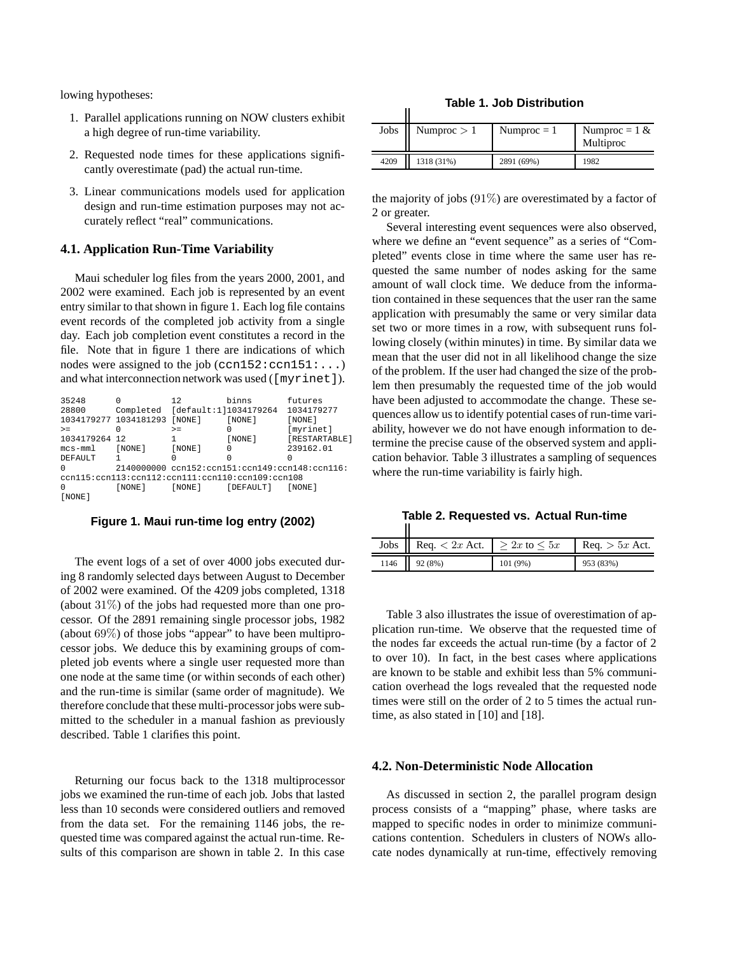lowing hypotheses:

- 1. Parallel applications running on NOW clusters exhibit a high degree of run-time variability.
- 2. Requested node times for these applications significantly overestimate (pad) the actual run-time.
- 3. Linear communications models used for application design and run-time estimation purposes may not accurately reflect "real" communications.

#### **4.1. Application Run-Time Variability**

Maui scheduler log files from the years 2000, 2001, and 2002 were examined. Each job is represented by an event entry similar to that shown in figure 1. Each log file contains event records of the completed job activity from a single day. Each job completion event constitutes a record in the file. Note that in figure 1 there are indications of which nodes were assigned to the job (ccn152:ccn151:...) and what interconnection network was used ([myrinet]).

| 35248                                              | 0         | 12                    | binns  | futures                                        |  |
|----------------------------------------------------|-----------|-----------------------|--------|------------------------------------------------|--|
| 28800                                              | Completed | [default:1]1034179264 |        | 1034179277                                     |  |
| 1034179277 1034181293 [NONE]                       |           |                       | [NONE] | [NONE]                                         |  |
| $>=$                                               |           | $>=$                  |        | [myrinet]                                      |  |
| 1034179264 12                                      |           |                       | [NONE] | [RESTARTABLE]                                  |  |
| mcs-mml                                            | [ NONE ]  | [NONE]                | 0      | 239162.01                                      |  |
| DEFAULT                                            |           |                       | $\cap$ |                                                |  |
| $\Omega$                                           |           |                       |        | 2140000000 ccn152:ccn151:ccn149:ccn148:ccn116: |  |
| $ccn115:ccn113:ccn112:ccn111:ccn110:ccn109:ccn108$ |           |                       |        |                                                |  |
| $\Omega$                                           | [ NONE ]  | [NONE] [DEFAULT]      |        | [NONE]                                         |  |
| [NONE]                                             |           |                       |        |                                                |  |
|                                                    |           |                       |        |                                                |  |

## **Figure 1. Maui run-time log entry (2002)**

The event logs of a set of over 4000 jobs executed during 8 randomly selected days between August to December of 2002 were examined. Of the 4209 jobs completed, 1318 (about  $31\%$ ) of the jobs had requested more than one processor. Of the 2891 remaining single processor jobs, 1982 (about 69%) of those jobs "appear" to have been multiprocessor jobs. We deduce this by examining groups of completed job events where a single user requested more than one node at the same time (or within seconds of each other) and the run-time is similar (same order of magnitude). We therefore conclude that these multi-processor jobs were submitted to the scheduler in a manual fashion as previously described. Table 1 clarifies this point.

Returning our focus back to the 1318 multiprocessor jobs we examined the run-time of each job. Jobs that lasted less than 10 seconds were considered outliers and removed from the data set. For the remaining 1146 jobs, the requested time was compared against the actual run-time. Results of this comparison are shown in table 2. In this case

| <b>Table 1. Job Distribution</b> |  |  |  |
|----------------------------------|--|--|--|
|                                  |  |  |  |

 $\mathbf{I}$ 

| Jobs | Numproc $> 1$ | Numproc $= 1$ | Numproc = $1 &$<br>Multiproc |
|------|---------------|---------------|------------------------------|
| 4209 | 1318 (31%)    | 2891 (69%)    | 1982                         |

the majority of jobs  $(91\%)$  are overestimated by a factor of 2 or greater.

Several interesting event sequences were also observed, where we define an "event sequence" as a series of "Completed" events close in time where the same user has requested the same number of nodes asking for the same amount of wall clock time. We deduce from the information contained in these sequences that the user ran the same application with presumably the same or very similar data set two or more times in a row, with subsequent runs following closely (within minutes) in time. By similar data we mean that the user did not in all likelihood change the size of the problem. If the user had changed the size of the problem then presumably the requested time of the job would have been adjusted to accommodate the change. These sequences allow us to identify potential cases of run-time variability, however we do not have enough information to determine the precise cause of the observed system and application behavior. Table 3 illustrates a sampling of sequences where the run-time variability is fairly high.

| Jobs Req. < $2x$ Act. $\geq 2x$ to $\leq 5x$ |          | Req. $> 5x$ Act. |
|----------------------------------------------|----------|------------------|
| 1146 92 (8%)                                 | 101 (9%) | 953 (83%)        |

Table 3 also illustrates the issue of overestimation of application run-time. We observe that the requested time of the nodes far exceeds the actual run-time (by a factor of 2 to over 10). In fact, in the best cases where applications are known to be stable and exhibit less than 5% communication overhead the logs revealed that the requested node times were still on the order of 2 to 5 times the actual runtime, as also stated in [10] and [18].

#### **4.2. Non-Deterministic Node Allocation**

As discussed in section 2, the parallel program design process consists of a "mapping" phase, where tasks are mapped to specific nodes in order to minimize communications contention. Schedulers in clusters of NOWs allocate nodes dynamically at run-time, effectively removing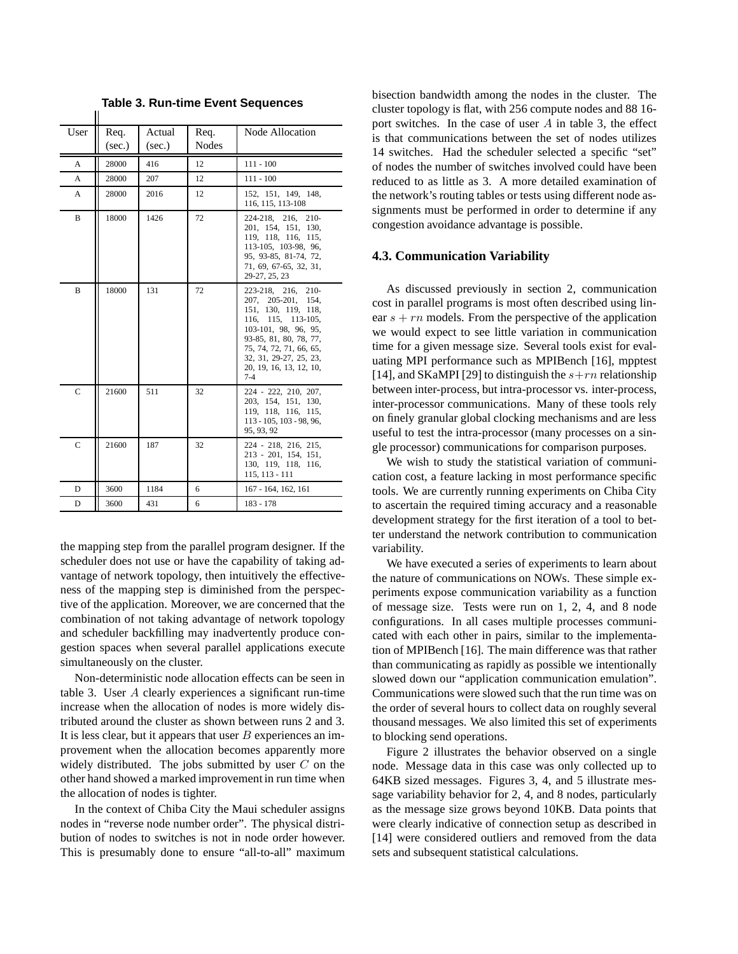| User          | Req.<br>(sec.) | Actual<br>(sec.) | Req.<br><b>Nodes</b> | Node Allocation                                                                                                                                                                                                                          |
|---------------|----------------|------------------|----------------------|------------------------------------------------------------------------------------------------------------------------------------------------------------------------------------------------------------------------------------------|
| A             | 28000          | 416              | 12                   | $111 - 100$                                                                                                                                                                                                                              |
| A             | 28000          | 207              | 12                   | $111 - 100$                                                                                                                                                                                                                              |
| A             | 28000          | 2016             | 12                   | 152, 151, 149, 148,<br>116, 115, 113-108                                                                                                                                                                                                 |
| B             | 18000          | 1426             | 72                   | 224-218, 216,<br>$210-$<br>201, 154, 151, 130,<br>119, 118, 116, 115,<br>113-105, 103-98, 96,<br>95, 93-85, 81-74, 72,<br>71, 69, 67-65, 32, 31,<br>29-27, 25, 23                                                                        |
| B             | 18000          | 131              | 72                   | 223-218, 216, 210-<br>205-201, 154,<br>207,<br>151, 130, 119, 118,<br>115, 113-105,<br>116.<br>103-101, 98, 96, 95,<br>93-85, 81, 80, 78, 77,<br>75, 74, 72, 71, 66, 65,<br>32, 31, 29-27, 25, 23,<br>20, 19, 16, 13, 12, 10,<br>$7 - 4$ |
| $\mathsf{C}$  | 21600          | 511              | 32                   | 224 - 222, 210, 207,<br>203, 154, 151, 130,<br>119, 118, 116, 115,<br>113 - 105, 103 - 98, 96,<br>95, 93, 92                                                                                                                             |
| $\mathcal{C}$ | 21600          | 187              | 32                   | 224 - 218, 216, 215,<br>213 - 201, 154, 151,<br>130, 119, 118, 116,<br>115, 113 - 111                                                                                                                                                    |
| D             | 3600           | 1184             | 6                    | 167 - 164, 162, 161                                                                                                                                                                                                                      |
| D             | 3600           | 431              | 6                    | 183 - 178                                                                                                                                                                                                                                |

**Table 3. Run-time Event Sequences**

the mapping step from the parallel program designer. If the scheduler does not use or have the capability of taking advantage of network topology, then intuitively the effectiveness of the mapping step is diminished from the perspective of the application. Moreover, we are concerned that the combination of not taking advantage of network topology and scheduler backfilling may inadvertently produce congestion spaces when several parallel applications execute simultaneously on the cluster.

Non-deterministic node allocation effects can be seen in table 3. User A clearly experiences a significant run-time increase when the allocation of nodes is more widely distributed around the cluster as shown between runs 2 and 3. It is less clear, but it appears that user  $B$  experiences an improvement when the allocation becomes apparently more widely distributed. The jobs submitted by user  $C$  on the other hand showed a marked improvement in run time when the allocation of nodes is tighter.

In the context of Chiba City the Maui scheduler assigns nodes in "reverse node number order". The physical distribution of nodes to switches is not in node order however. This is presumably done to ensure "all-to-all" maximum bisection bandwidth among the nodes in the cluster. The cluster topology is flat, with 256 compute nodes and 88 16 port switches. In the case of user  $A$  in table 3, the effect is that communications between the set of nodes utilizes 14 switches. Had the scheduler selected a specific "set" of nodes the number of switches involved could have been reduced to as little as 3. A more detailed examination of the network's routing tables or tests using different node assignments must be performed in order to determine if any congestion avoidance advantage is possible.

#### **4.3. Communication Variability**

As discussed previously in section 2, communication cost in parallel programs is most often described using linear  $s + rn$  models. From the perspective of the application we would expect to see little variation in communication time for a given message size. Several tools exist for evaluating MPI performance such as MPIBench [16], mpptest [14], and SKaMPI [29] to distinguish the  $s+rn$  relationship between inter-process, but intra-processor vs. inter-process, inter-processor communications. Many of these tools rely on finely granular global clocking mechanisms and are less useful to test the intra-processor (many processes on a single processor) communications for comparison purposes.

We wish to study the statistical variation of communication cost, a feature lacking in most performance specific tools. We are currently running experiments on Chiba City to ascertain the required timing accuracy and a reasonable development strategy for the first iteration of a tool to better understand the network contribution to communication variability.

We have executed a series of experiments to learn about the nature of communications on NOWs. These simple experiments expose communication variability as a function of message size. Tests were run on 1, 2, 4, and 8 node configurations. In all cases multiple processes communicated with each other in pairs, similar to the implementation of MPIBench [16]. The main difference was that rather than communicating as rapidly as possible we intentionally slowed down our "application communication emulation". Communications were slowed such that the run time was on the order of several hours to collect data on roughly several thousand messages. We also limited this set of experiments to blocking send operations.

Figure 2 illustrates the behavior observed on a single node. Message data in this case was only collected up to 64KB sized messages. Figures 3, 4, and 5 illustrate message variability behavior for 2, 4, and 8 nodes, particularly as the message size grows beyond 10KB. Data points that were clearly indicative of connection setup as described in [14] were considered outliers and removed from the data sets and subsequent statistical calculations.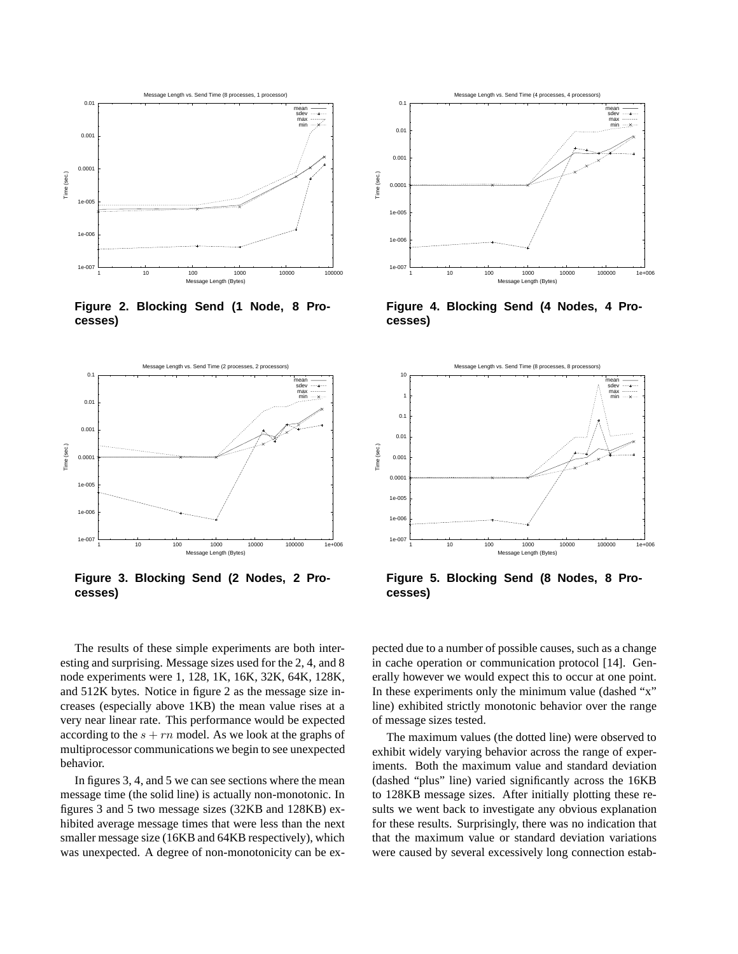

**Figure 2. Blocking Send (1 Node, 8 Processes)**



**Figure 3. Blocking Send (2 Nodes, 2 Processes)**

The results of these simple experiments are both interesting and surprising. Message sizes used for the 2, 4, and 8 node experiments were 1, 128, 1K, 16K, 32K, 64K, 128K, and 512K bytes. Notice in figure 2 as the message size increases (especially above 1KB) the mean value rises at a very near linear rate. This performance would be expected according to the  $s + rn$  model. As we look at the graphs of multiprocessor communications we begin to see unexpected behavior.

In figures 3, 4, and 5 we can see sections where the mean message time (the solid line) is actually non-monotonic. In figures 3 and 5 two message sizes (32KB and 128KB) exhibited average message times that were less than the next smaller message size (16KB and 64KB respectively), which was unexpected. A degree of non-monotonicity can be ex-



**Figure 4. Blocking Send (4 Nodes, 4 Processes)**



**Figure 5. Blocking Send (8 Nodes, 8 Processes)**

pected due to a number of possible causes, such as a change in cache operation or communication protocol [14]. Generally however we would expect this to occur at one point. In these experiments only the minimum value (dashed "x" line) exhibited strictly monotonic behavior over the range of message sizes tested.

The maximum values (the dotted line) were observed to exhibit widely varying behavior across the range of experiments. Both the maximum value and standard deviation (dashed "plus" line) varied significantly across the 16KB to 128KB message sizes. After initially plotting these results we went back to investigate any obvious explanation for these results. Surprisingly, there was no indication that that the maximum value or standard deviation variations were caused by several excessively long connection estab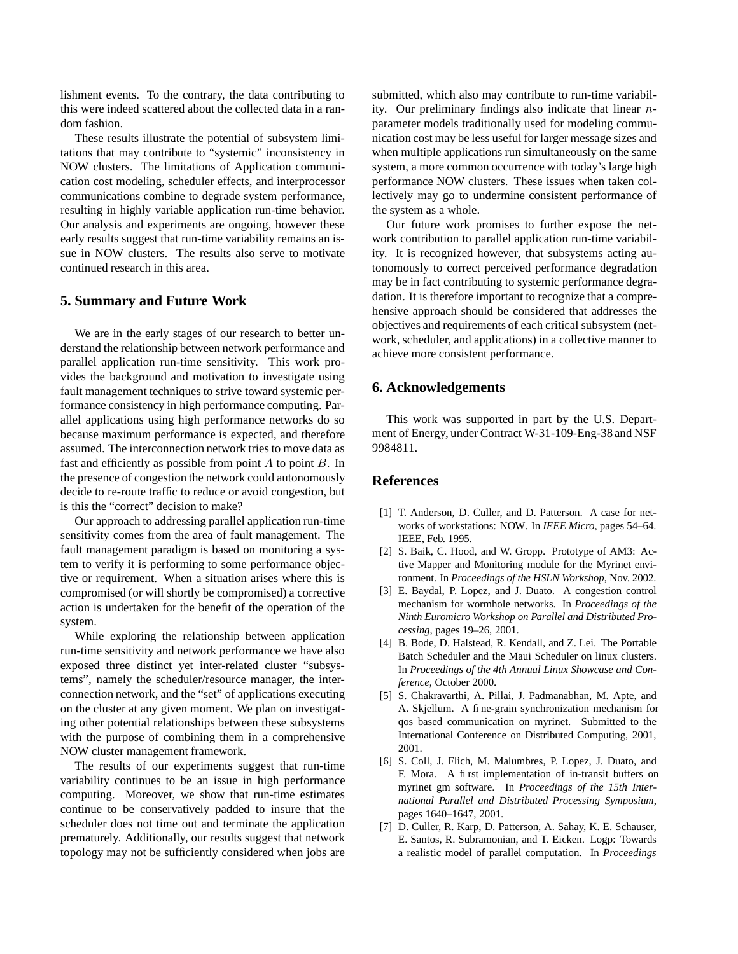lishment events. To the contrary, the data contributing to this were indeed scattered about the collected data in a random fashion.

These results illustrate the potential of subsystem limitations that may contribute to "systemic" inconsistency in NOW clusters. The limitations of Application communication cost modeling, scheduler effects, and interprocessor communications combine to degrade system performance, resulting in highly variable application run-time behavior. Our analysis and experiments are ongoing, however these early results suggest that run-time variability remains an issue in NOW clusters. The results also serve to motivate continued research in this area.

## **5. Summary and Future Work**

We are in the early stages of our research to better understand the relationship between network performance and parallel application run-time sensitivity. This work provides the background and motivation to investigate using fault management techniques to strive toward systemic performance consistency in high performance computing. Parallel applications using high performance networks do so because maximum performance is expected, and therefore assumed. The interconnection network tries to move data as fast and efficiently as possible from point  $A$  to point  $B$ . In the presence of congestion the network could autonomously decide to re-route traffic to reduce or avoid congestion, but is this the "correct" decision to make?

Our approach to addressing parallel application run-time sensitivity comes from the area of fault management. The fault management paradigm is based on monitoring a system to verify it is performing to some performance objective or requirement. When a situation arises where this is compromised (or will shortly be compromised) a corrective action is undertaken for the benefit of the operation of the system.

While exploring the relationship between application run-time sensitivity and network performance we have also exposed three distinct yet inter-related cluster "subsystems", namely the scheduler/resource manager, the interconnection network, and the "set" of applications executing on the cluster at any given moment. We plan on investigating other potential relationships between these subsystems with the purpose of combining them in a comprehensive NOW cluster management framework.

The results of our experiments suggest that run-time variability continues to be an issue in high performance computing. Moreover, we show that run-time estimates continue to be conservatively padded to insure that the scheduler does not time out and terminate the application prematurely. Additionally, our results suggest that network topology may not be sufficiently considered when jobs are

submitted, which also may contribute to run-time variability. Our preliminary findings also indicate that linear  $n$ parameter models traditionally used for modeling communication cost may be less useful for larger message sizes and when multiple applications run simultaneously on the same system, a more common occurrence with today's large high performance NOW clusters. These issues when taken collectively may go to undermine consistent performance of the system as a whole.

Our future work promises to further expose the network contribution to parallel application run-time variability. It is recognized however, that subsystems acting autonomously to correct perceived performance degradation may be in fact contributing to systemic performance degradation. It is therefore important to recognize that a comprehensive approach should be considered that addresses the objectives and requirements of each critical subsystem (network, scheduler, and applications) in a collective manner to achieve more consistent performance.

#### **6. Acknowledgements**

This work was supported in part by the U.S. Department of Energy, under Contract W-31-109-Eng-38 and NSF 9984811.

## **References**

- [1] T. Anderson, D. Culler, and D. Patterson. A case for networks of workstations: NOW. In *IEEE Micro*, pages 54–64. IEEE, Feb. 1995.
- [2] S. Baik, C. Hood, and W. Gropp. Prototype of AM3: Active Mapper and Monitoring module for the Myrinet environment. In *Proceedings of the HSLN Workshop*, Nov. 2002.
- [3] E. Baydal, P. Lopez, and J. Duato. A congestion control mechanism for wormhole networks. In *Proceedings of the Ninth Euromicro Workshop on Parallel and Distributed Processing*, pages 19–26, 2001.
- [4] B. Bode, D. Halstead, R. Kendall, and Z. Lei. The Portable Batch Scheduler and the Maui Scheduler on linux clusters. In *Proceedings of the 4th Annual Linux Showcase and Conference*, October 2000.
- [5] S. Chakravarthi, A. Pillai, J. Padmanabhan, M. Apte, and A. Skjellum. A fine-grain synchronization mechanism for qos based communication on myrinet. Submitted to the International Conference on Distributed Computing, 2001, 2001.
- [6] S. Coll, J. Flich, M. Malumbres, P. Lopez, J. Duato, and F. Mora. A first implementation of in-transit buffers on myrinet gm software. In *Proceedings of the 15th International Parallel and Distributed Processing Symposium*, pages 1640–1647, 2001.
- [7] D. Culler, R. Karp, D. Patterson, A. Sahay, K. E. Schauser, E. Santos, R. Subramonian, and T. Eicken. Logp: Towards a realistic model of parallel computation. In *Proceedings*